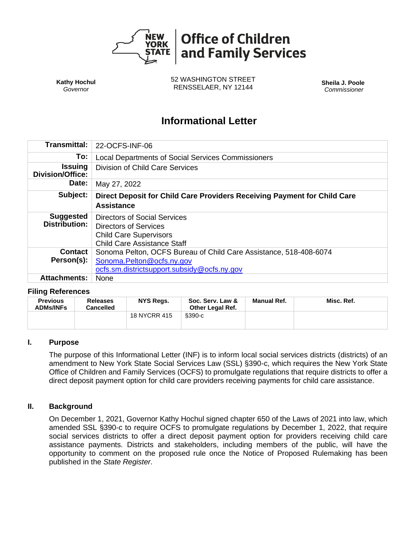

**Kathy Hochul** *Governor*

52 WASHINGTON STREET RENSSELAER, NY 12144 **Sheila J. Poole**

*Commissioner*

# **Informational Letter**

| <b>Transmittal:</b>                       | 22-OCFS-INF-06                                                                                                                                |  |  |  |  |
|-------------------------------------------|-----------------------------------------------------------------------------------------------------------------------------------------------|--|--|--|--|
| To:                                       | <b>Local Departments of Social Services Commissioners</b>                                                                                     |  |  |  |  |
| <b>Issuing</b><br><b>Division/Office:</b> | Division of Child Care Services                                                                                                               |  |  |  |  |
| Date:                                     | May 27, 2022                                                                                                                                  |  |  |  |  |
| Subject:                                  | Direct Deposit for Child Care Providers Receiving Payment for Child Care<br><b>Assistance</b>                                                 |  |  |  |  |
| <b>Suggested</b><br><b>Distribution:</b>  | <b>Directors of Social Services</b><br><b>Directors of Services</b><br><b>Child Care Supervisors</b><br><b>Child Care Assistance Staff</b>    |  |  |  |  |
| <b>Contact</b><br>Person(s):              | Sonoma Pelton, OCFS Bureau of Child Care Assistance, 518-408-6074<br>Sonoma.Pelton@ocfs.ny.gov<br>ocfs.sm.districtsupport.subsidy@ocfs.ny.gov |  |  |  |  |
| <b>Attachments:</b>                       | None                                                                                                                                          |  |  |  |  |

#### **Filing References**

| <b>Previous</b><br><b>ADMs/INFs</b> | <b>Releases</b><br><b>Cancelled</b> | NYS Regs.           | Soc. Serv. Law &<br><b>Other Legal Ref.</b> | <b>Manual Ref.</b> | Misc. Ref. |
|-------------------------------------|-------------------------------------|---------------------|---------------------------------------------|--------------------|------------|
|                                     |                                     | <b>18 NYCRR 415</b> | §390-c                                      |                    |            |

#### **I. Purpose**

The purpose of this Informational Letter (INF) is to inform local social services districts (districts) of an amendment to New York State Social Services Law (SSL) §390-c, which requires the New York State Office of Children and Family Services (OCFS) to promulgate regulations that require districts to offer a direct deposit payment option for child care providers receiving payments for child care assistance.

#### **II. Background**

On December 1, 2021, Governor Kathy Hochul signed chapter 650 of the Laws of 2021 into law, which amended SSL §390-c to require OCFS to promulgate regulations by December 1, 2022, that require social services districts to offer a direct deposit payment option for providers receiving child care assistance payments. Districts and stakeholders, including members of the public, will have the opportunity to comment on the proposed rule once the Notice of Proposed Rulemaking has been published in the *State Register.*